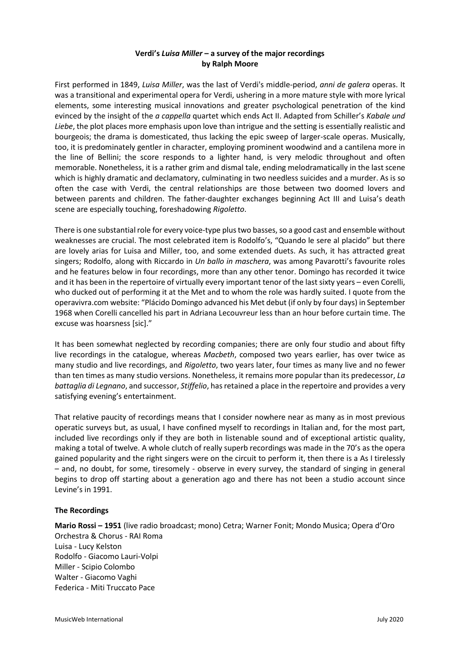## **Verdi's** *Luisa Miller* **– a survey of the major recordings by Ralph Moore**

First performed in 1849, *Luisa Miller*, was the last of Verdi's middle-period, *anni de galera* operas. It was a transitional and experimental opera for Verdi, ushering in a more mature style with more lyrical elements, some interesting musical innovations and greater psychological penetration of the kind evinced by the insight of the *a cappella* quartet which ends Act II. Adapted from Schiller's *Kabale und Liebe*, the plot places more emphasis upon love than intrigue and the setting is essentially realistic and bourgeois; the drama is domesticated, thus lacking the epic sweep of larger-scale operas. Musically, too, it is predominately gentler in character, employing prominent woodwind and a cantilena more in the line of Bellini; the score responds to a lighter hand, is very melodic throughout and often memorable. Nonetheless, it is a rather grim and dismal tale, ending melodramatically in the last scene which is highly dramatic and declamatory, culminating in two needless suicides and a murder. As is so often the case with Verdi, the central relationships are those between two doomed lovers and between parents and children. The father-daughter exchanges beginning Act III and Luisa's death scene are especially touching, foreshadowing *Rigoletto*.

There is one substantial role for every voice-type plus two basses, so a good cast and ensemble without weaknesses are crucial. The most celebrated item is Rodolfo's, "Quando le sere al placido" but there are lovely arias for Luisa and Miller, too, and some extended duets. As such, it has attracted great singers; Rodolfo, along with Riccardo in *Un ballo in maschera*, was among Pavarotti's favourite roles and he features below in four recordings, more than any other tenor. Domingo has recorded it twice and it has been in the repertoire of virtually every important tenor of the last sixty years – even Corelli, who ducked out of performing it at the Met and to whom the role was hardly suited. I quote from the operavivra.com website: "Plácido Domingo advanced his Met debut (if only by four days) in September 1968 when Corelli cancelled his part in Adriana Lecouvreur less than an hour before curtain time. The excuse was hoarsness [sic]."

It has been somewhat neglected by recording companies; there are only four studio and about fifty live recordings in the catalogue, whereas *Macbeth*, composed two years earlier, has over twice as many studio and live recordings, and *Rigoletto*, two years later, four times as many live and no fewer than ten times as many studio versions. Nonetheless, it remains more popular than its predecessor, *La battaglia di Legnano*, and successor, *Stiffelio*, has retained a place in the repertoire and provides a very satisfying evening's entertainment.

That relative paucity of recordings means that I consider nowhere near as many as in most previous operatic surveys but, as usual, I have confined myself to recordings in Italian and, for the most part, included live recordings only if they are both in listenable sound and of exceptional artistic quality, making a total of twelve. A whole clutch of really superb recordings was made in the 70's as the opera gained popularity and the right singers were on the circuit to perform it, then there is a As I tirelessly – and, no doubt, for some, tiresomely - observe in every survey, the standard of singing in general begins to drop off starting about a generation ago and there has not been a studio account since Levine's in 1991.

## **The Recordings**

**Mario Rossi – 1951** (live radio broadcast; mono) Cetra; Warner Fonit; Mondo Musica; Opera d'Oro Orchestra & Chorus - RAI Roma Luisa - Lucy Kelston Rodolfo - Giacomo Lauri-Volpi Miller - Scipio Colombo Walter - Giacomo Vaghi Federica - Miti Truccato Pace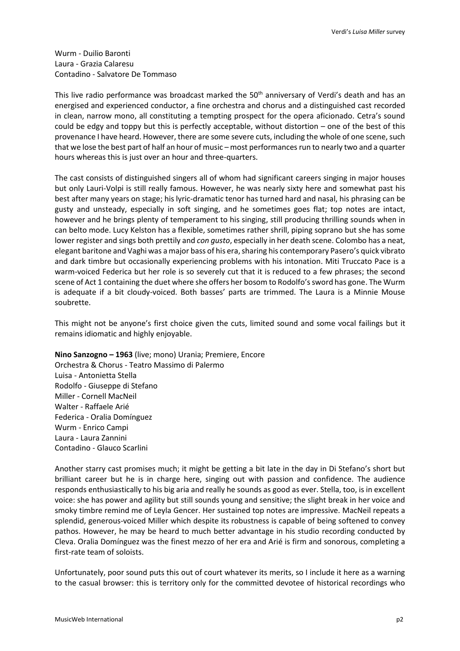Wurm - Duilio Baronti Laura - Grazia Calaresu Contadino - Salvatore De Tommaso

This live radio performance was broadcast marked the 50<sup>th</sup> anniversary of Verdi's death and has an energised and experienced conductor, a fine orchestra and chorus and a distinguished cast recorded in clean, narrow mono, all constituting a tempting prospect for the opera aficionado. Cetra's sound could be edgy and toppy but this is perfectly acceptable, without distortion – one of the best of this provenance I have heard. However, there are some severe cuts, including the whole of one scene, such that we lose the best part of half an hour of music – most performances run to nearly two and a quarter hours whereas this is just over an hour and three-quarters.

The cast consists of distinguished singers all of whom had significant careers singing in major houses but only Lauri-Volpi is still really famous. However, he was nearly sixty here and somewhat past his best after many years on stage; his lyric-dramatic tenor has turned hard and nasal, his phrasing can be gusty and unsteady, especially in soft singing, and he sometimes goes flat; top notes are intact, however and he brings plenty of temperament to his singing, still producing thrilling sounds when in can belto mode. Lucy Kelston has a flexible, sometimes rather shrill, piping soprano but she has some lower register and sings both prettily and *con gusto*, especially in her death scene. Colombo has a neat, elegant baritone and Vaghi was a major bass of his era, sharing his contemporary Pasero's quick vibrato and dark timbre but occasionally experiencing problems with his intonation. Miti Truccato Pace is a warm-voiced Federica but her role is so severely cut that it is reduced to a few phrases; the second scene of Act 1 containing the duet where she offers her bosom to Rodolfo's sword has gone. The Wurm is adequate if a bit cloudy-voiced. Both basses' parts are trimmed. The Laura is a Minnie Mouse soubrette.

This might not be anyone's first choice given the cuts, limited sound and some vocal failings but it remains idiomatic and highly enjoyable.

**Nino Sanzogno – 1963** (live; mono) Urania; Premiere, Encore Orchestra & Chorus - Teatro Massimo di Palermo Luisa - Antonietta Stella Rodolfo - Giuseppe di Stefano Miller - Cornell MacNeil Walter - Raffaele Arié Federica - Oralia Domínguez Wurm - Enrico Campi Laura - Laura Zannini Contadino - Glauco Scarlini

Another starry cast promises much; it might be getting a bit late in the day in Di Stefano's short but brilliant career but he is in charge here, singing out with passion and confidence. The audience responds enthusiastically to his big aria and really he sounds as good as ever. Stella, too, is in excellent voice: she has power and agility but still sounds young and sensitive; the slight break in her voice and smoky timbre remind me of Leyla Gencer. Her sustained top notes are impressive. MacNeil repeats a splendid, generous-voiced Miller which despite its robustness is capable of being softened to convey pathos. However, he may be heard to much better advantage in his studio recording conducted by Cleva. Oralia Domínguez was the finest mezzo of her era and Arié is firm and sonorous, completing a first-rate team of soloists.

Unfortunately, poor sound puts this out of court whatever its merits, so I include it here as a warning to the casual browser: this is territory only for the committed devotee of historical recordings who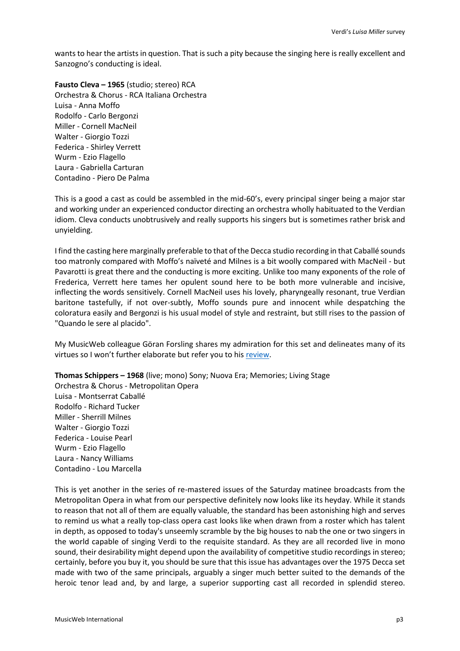wants to hear the artists in question. That is such a pity because the singing here is really excellent and Sanzogno's conducting is ideal.

**Fausto Cleva – 1965** (studio; stereo) RCA Orchestra & Chorus - RCA Italiana Orchestra Luisa - Anna Moffo Rodolfo - Carlo Bergonzi Miller - Cornell MacNeil Walter - Giorgio Tozzi Federica - Shirley Verrett Wurm - Ezio Flagello Laura - Gabriella Carturan Contadino - Piero De Palma

This is a good a cast as could be assembled in the mid-60's, every principal singer being a major star and working under an experienced conductor directing an orchestra wholly habituated to the Verdian idiom. Cleva conducts unobtrusively and really supports his singers but is sometimes rather brisk and unyielding.

I find the casting here marginally preferable to that of the Decca studio recording in that Caballé sounds too matronly compared with Moffo's naïveté and Milnes is a bit woolly compared with MacNeil - but Pavarotti is great there and the conducting is more exciting. Unlike too many exponents of the role of Frederica, Verrett here tames her opulent sound here to be both more vulnerable and incisive, inflecting the words sensitively. Cornell MacNeil uses his lovely, pharyngeally resonant, true Verdian baritone tastefully, if not over-subtly, Moffo sounds pure and innocent while despatching the coloratura easily and Bergonzi is his usual model of style and restraint, but still rises to the passion of "Quando le sere al placido".

My MusicWeb colleague Göran Forsling shares my admiration for this set and delineates many of its virtues so I won't further elaborate but refer you to his [review.](http://www.musicweb-international.com/classrev/2015/Nov/Verdi_Luisa_88875073462.htm)

**Thomas Schippers – 1968** (live; mono) Sony; Nuova Era; Memories; Living Stage Orchestra & Chorus - Metropolitan Opera Luisa - Montserrat Caballé Rodolfo - Richard Tucker Miller - Sherrill Milnes Walter - Giorgio Tozzi Federica - Louise Pearl Wurm - Ezio Flagello Laura - Nancy Williams Contadino - Lou Marcella

This is yet another in the series of re-mastered issues of the Saturday matinee broadcasts from the Metropolitan Opera in what from our perspective definitely now looks like its heyday. While it stands to reason that not all of them are equally valuable, the standard has been astonishing high and serves to remind us what a really top-class opera cast looks like when drawn from a roster which has talent in depth, as opposed to today's unseemly scramble by the big houses to nab the one or two singers in the world capable of singing Verdi to the requisite standard. As they are all recorded live in mono sound, their desirability might depend upon the availability of competitive studio recordings in stereo; certainly, before you buy it, you should be sure that this issue has advantages over the 1975 Decca set made with two of the same principals, arguably a singer much better suited to the demands of the heroic tenor lead and, by and large, a superior supporting cast all recorded in splendid stereo.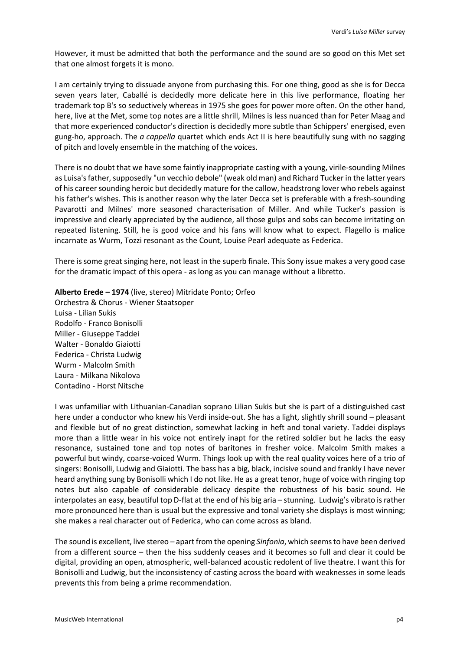However, it must be admitted that both the performance and the sound are so good on this Met set that one almost forgets it is mono.

I am certainly trying to dissuade anyone from purchasing this. For one thing, good as she is for Decca seven years later, Caballé is decidedly more delicate here in this live performance, floating her trademark top B's so seductively whereas in 1975 she goes for power more often. On the other hand, here, live at the Met, some top notes are a little shrill, Milnes is less nuanced than for Peter Maag and that more experienced conductor's direction is decidedly more subtle than Schippers' energised, even gung-ho, approach. The *a cappella* quartet which ends Act II is here beautifully sung with no sagging of pitch and lovely ensemble in the matching of the voices.

There is no doubt that we have some faintly inappropriate casting with a young, virile-sounding Milnes as Luisa's father, supposedly "un vecchio debole" (weak old man) and Richard Tucker in the latter years of his career sounding heroic but decidedly mature for the callow, headstrong lover who rebels against his father's wishes. This is another reason why the later Decca set is preferable with a fresh-sounding Pavarotti and Milnes' more seasoned characterisation of Miller. And while Tucker's passion is impressive and clearly appreciated by the audience, all those gulps and sobs can become irritating on repeated listening. Still, he is good voice and his fans will know what to expect. Flagello is malice incarnate as Wurm, Tozzi resonant as the Count, Louise Pearl adequate as Federica.

There is some great singing here, not least in the superb finale. This Sony issue makes a very good case for the dramatic impact of this opera - as long as you can manage without a libretto.

## **Alberto Erede – 1974** (live, stereo) Mitridate Ponto; Orfeo

Orchestra & Chorus - Wiener Staatsoper Luisa - Lilian Sukis Rodolfo - Franco Bonisolli Miller - Giuseppe Taddei Walter - Bonaldo Giaiotti Federica - Christa Ludwig Wurm - Malcolm Smith Laura - Milkana Nikolova Contadino - Horst Nitsche

I was unfamiliar with Lithuanian-Canadian soprano Lilian Sukis but she is part of a distinguished cast here under a conductor who knew his Verdi inside-out. She has a light, slightly shrill sound – pleasant and flexible but of no great distinction, somewhat lacking in heft and tonal variety. Taddei displays more than a little wear in his voice not entirely inapt for the retired soldier but he lacks the easy resonance, sustained tone and top notes of baritones in fresher voice. Malcolm Smith makes a powerful but windy, coarse-voiced Wurm. Things look up with the real quality voices here of a trio of singers: Bonisolli, Ludwig and Giaiotti. The bass has a big, black, incisive sound and frankly I have never heard anything sung by Bonisolli which I do not like. He as a great tenor, huge of voice with ringing top notes but also capable of considerable delicacy despite the robustness of his basic sound. He interpolates an easy, beautiful top D-flat at the end of his big aria – stunning. Ludwig's vibrato is rather more pronounced here than is usual but the expressive and tonal variety she displays is most winning; she makes a real character out of Federica, who can come across as bland.

The sound is excellent, live stereo – apart from the opening *Sinfonia*, which seems to have been derived from a different source – then the hiss suddenly ceases and it becomes so full and clear it could be digital, providing an open, atmospheric, well-balanced acoustic redolent of live theatre. I want this for Bonisolli and Ludwig, but the inconsistency of casting across the board with weaknesses in some leads prevents this from being a prime recommendation.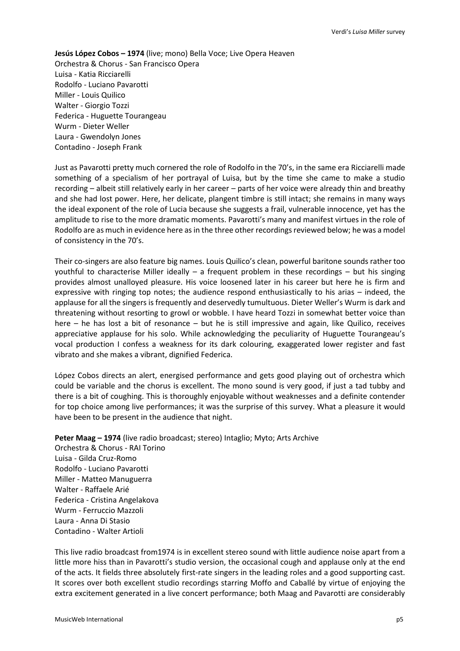**Jesús López Cobos – 1974** (live; mono) Bella Voce; Live Opera Heaven Orchestra & Chorus - San Francisco Opera Luisa - Katia Ricciarelli Rodolfo - Luciano Pavarotti Miller - Louis Quilico Walter - Giorgio Tozzi Federica - Huguette Tourangeau Wurm - Dieter Weller Laura - Gwendolyn Jones Contadino - Joseph Frank

Just as Pavarotti pretty much cornered the role of Rodolfo in the 70's, in the same era Ricciarelli made something of a specialism of her portrayal of Luisa, but by the time she came to make a studio recording – albeit still relatively early in her career – parts of her voice were already thin and breathy and she had lost power. Here, her delicate, plangent timbre is still intact; she remains in many ways the ideal exponent of the role of Lucia because she suggests a frail, vulnerable innocence, yet has the amplitude to rise to the more dramatic moments. Pavarotti's many and manifest virtues in the role of Rodolfo are as much in evidence here as in the three other recordings reviewed below; he was a model of consistency in the 70's.

Their co-singers are also feature big names. Louis Quilico's clean, powerful baritone sounds rather too youthful to characterise Miller ideally – a frequent problem in these recordings – but his singing provides almost unalloyed pleasure. His voice loosened later in his career but here he is firm and expressive with ringing top notes; the audience respond enthusiastically to his arias – indeed, the applause for all the singers is frequently and deservedly tumultuous. Dieter Weller's Wurm is dark and threatening without resorting to growl or wobble. I have heard Tozzi in somewhat better voice than here – he has lost a bit of resonance – but he is still impressive and again, like Quilico, receives appreciative applause for his solo. While acknowledging the peculiarity of Huguette Tourangeau's vocal production I confess a weakness for its dark colouring, exaggerated lower register and fast vibrato and she makes a vibrant, dignified Federica.

López Cobos directs an alert, energised performance and gets good playing out of orchestra which could be variable and the chorus is excellent. The mono sound is very good, if just a tad tubby and there is a bit of coughing. This is thoroughly enjoyable without weaknesses and a definite contender for top choice among live performances; it was the surprise of this survey. What a pleasure it would have been to be present in the audience that night.

**Peter Maag – 1974** (live radio broadcast; stereo) Intaglio; Myto; Arts Archive Orchestra & Chorus - RAI Torino Luisa - Gilda Cruz-Romo Rodolfo - Luciano Pavarotti Miller - Matteo Manuguerra Walter - Raffaele Arié Federica - Cristina Angelakova Wurm - Ferruccio Mazzoli Laura - Anna Di Stasio Contadino - Walter Artioli

This live radio broadcast from1974 is in excellent stereo sound with little audience noise apart from a little more hiss than in Pavarotti's studio version, the occasional cough and applause only at the end of the acts. It fields three absolutely first-rate singers in the leading roles and a good supporting cast. It scores over both excellent studio recordings starring Moffo and Caballé by virtue of enjoying the extra excitement generated in a live concert performance; both Maag and Pavarotti are considerably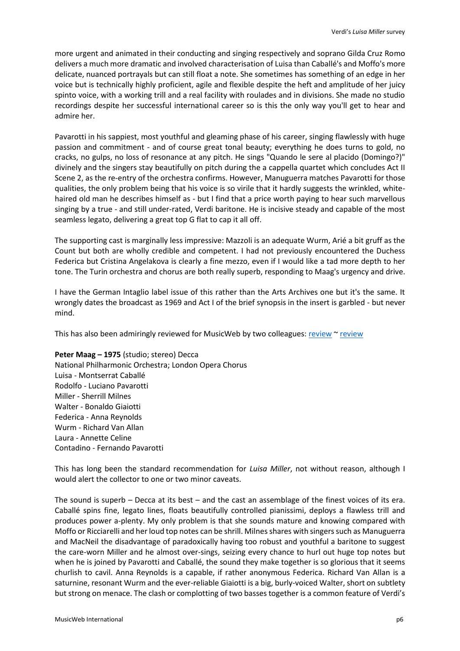more urgent and animated in their conducting and singing respectively and soprano Gilda Cruz Romo delivers a much more dramatic and involved characterisation of Luisa than Caballé's and Moffo's more delicate, nuanced portrayals but can still float a note. She sometimes has something of an edge in her voice but is technically highly proficient, agile and flexible despite the heft and amplitude of her juicy spinto voice, with a working trill and a real facility with roulades and in divisions. She made no studio recordings despite her successful international career so is this the only way you'll get to hear and admire her.

Pavarotti in his sappiest, most youthful and gleaming phase of his career, singing flawlessly with huge passion and commitment - and of course great tonal beauty; everything he does turns to gold, no cracks, no gulps, no loss of resonance at any pitch. He sings "Quando le sere al placido (Domingo?)" divinely and the singers stay beautifully on pitch during the a cappella quartet which concludes Act II Scene 2, as the re-entry of the orchestra confirms. However, Manuguerra matches Pavarotti for those qualities, the only problem being that his voice is so virile that it hardly suggests the wrinkled, whitehaired old man he describes himself as - but I find that a price worth paying to hear such marvellous singing by a true - and still under-rated, Verdi baritone. He is incisive steady and capable of the most seamless legato, delivering a great top G flat to cap it all off.

The supporting cast is marginally less impressive: Mazzoli is an adequate Wurm, Arié a bit gruff as the Count but both are wholly credible and competent. I had not previously encountered the Duchess Federica but Cristina Angelakova is clearly a fine mezzo, even if I would like a tad more depth to her tone. The Turin orchestra and chorus are both really superb, responding to Maag's urgency and drive.

I have the German Intaglio label issue of this rather than the Arts Archives one but it's the same. It wrongly dates the broadcast as 1969 and Act I of the brief synopsis in the insert is garbled - but never mind.

This has also been admiringly [review](http://www.musicweb-international.com/classrev/2008/Jan08/Verdi_luisa_430882.htm)ed for MusicWeb by two colleagues: [review](http://www.musicweb-international.com/classrev/2007/Oct07/Verdi_Luisa_430882.htm)  $\sim$  review

**Peter Maag – 1975** (studio; stereo) Decca National Philharmonic Orchestra; London Opera Chorus Luisa - Montserrat Caballé Rodolfo - Luciano Pavarotti Miller - Sherrill Milnes Walter - Bonaldo Giaiotti Federica - Anna Reynolds Wurm - Richard Van Allan Laura - Annette Celine Contadino - Fernando Pavarotti

This has long been the standard recommendation for *Luisa Miller*, not without reason, although I would alert the collector to one or two minor caveats.

The sound is superb – Decca at its best – and the cast an assemblage of the finest voices of its era. Caballé spins fine, legato lines, floats beautifully controlled pianissimi, deploys a flawless trill and produces power a-plenty. My only problem is that she sounds mature and knowing compared with Moffo or Ricciarelli and her loud top notes can be shrill. Milnes shares with singers such as Manuguerra and MacNeil the disadvantage of paradoxically having too robust and youthful a baritone to suggest the care-worn Miller and he almost over-sings, seizing every chance to hurl out huge top notes but when he is joined by Pavarotti and Caballé, the sound they make together is so glorious that it seems churlish to cavil. Anna Reynolds is a capable, if rather anonymous Federica. Richard Van Allan is a saturnine, resonant Wurm and the ever-reliable Giaiotti is a big, burly-voiced Walter, short on subtlety but strong on menace. The clash or complotting of two basses together is a common feature of Verdi's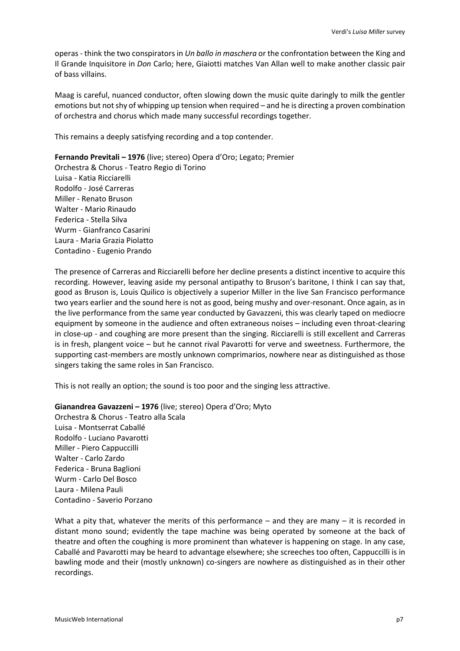operas - think the two conspirators in *Un ballo in maschera* or the confrontation between the King and Il Grande Inquisitore in *Don* Carlo; here, Giaiotti matches Van Allan well to make another classic pair of bass villains.

Maag is careful, nuanced conductor, often slowing down the music quite daringly to milk the gentler emotions but not shy of whipping up tension when required – and he is directing a proven combination of orchestra and chorus which made many successful recordings together.

This remains a deeply satisfying recording and a top contender.

**Fernando Previtali – 1976** (live; stereo) Opera d'Oro; Legato; Premier Orchestra & Chorus - Teatro Regio di Torino Luisa - Katia Ricciarelli Rodolfo - José Carreras Miller - Renato Bruson Walter - Mario Rinaudo Federica - Stella Silva Wurm - Gianfranco Casarini Laura - Maria Grazia Piolatto Contadino - Eugenio Prando

The presence of Carreras and Ricciarelli before her decline presents a distinct incentive to acquire this recording. However, leaving aside my personal antipathy to Bruson's baritone, I think I can say that, good as Bruson is, Louis Quilico is objectively a superior Miller in the live San Francisco performance two years earlier and the sound here is not as good, being mushy and over-resonant. Once again, as in the live performance from the same year conducted by Gavazzeni, this was clearly taped on mediocre equipment by someone in the audience and often extraneous noises – including even throat-clearing in close-up - and coughing are more present than the singing. Ricciarelli is still excellent and Carreras is in fresh, plangent voice – but he cannot rival Pavarotti for verve and sweetness. Furthermore, the supporting cast-members are mostly unknown comprimarios, nowhere near as distinguished as those singers taking the same roles in San Francisco.

This is not really an option; the sound is too poor and the singing less attractive.

**Gianandrea Gavazzeni – 1976** (live; stereo) Opera d'Oro; Myto

Orchestra & Chorus - Teatro alla Scala Luisa - Montserrat Caballé Rodolfo - Luciano Pavarotti Miller - Piero Cappuccilli Walter - Carlo Zardo Federica - Bruna Baglioni Wurm - Carlo Del Bosco Laura - Milena Pauli Contadino - Saverio Porzano

What a pity that, whatever the merits of this performance – and they are many – it is recorded in distant mono sound; evidently the tape machine was being operated by someone at the back of theatre and often the coughing is more prominent than whatever is happening on stage. In any case, Caballé and Pavarotti may be heard to advantage elsewhere; she screeches too often, Cappuccilli is in bawling mode and their (mostly unknown) co-singers are nowhere as distinguished as in their other recordings.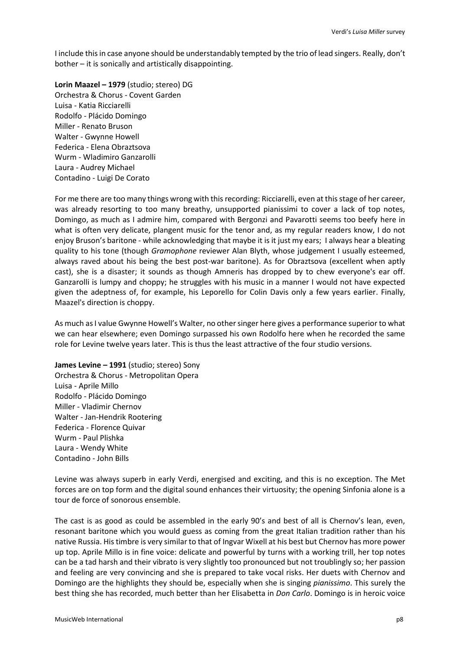I include this in case anyone should be understandably tempted by the trio of lead singers. Really, don't bother – it is sonically and artistically disappointing.

**Lorin Maazel – 1979** (studio; stereo) DG Orchestra & Chorus - Covent Garden Luisa - Katia Ricciarelli Rodolfo - Plácido Domingo Miller - Renato Bruson Walter - Gwynne Howell Federica - Elena Obraztsova Wurm - Wladimiro Ganzarolli Laura - Audrey Michael Contadino - Luigi De Corato

For me there are too many things wrong with this recording: Ricciarelli, even at this stage of her career, was already resorting to too many breathy, unsupported pianissimi to cover a lack of top notes, Domingo, as much as I admire him, compared with Bergonzi and Pavarotti seems too beefy here in what is often very delicate, plangent music for the tenor and, as my regular readers know, I do not enjoy Bruson's baritone - while acknowledging that maybe it is it just my ears; I always hear a bleating quality to his tone (though *Gramophone* reviewer Alan Blyth, whose judgement I usually esteemed, always raved about his being the best post-war baritone). As for Obraztsova (excellent when aptly cast), she is a disaster; it sounds as though Amneris has dropped by to chew everyone's ear off. Ganzarolli is lumpy and choppy; he struggles with his music in a manner I would not have expected given the adeptness of, for example, his Leporello for Colin Davis only a few years earlier. Finally, Maazel's direction is choppy.

As much as I value Gwynne Howell's Walter, no other singer here gives a performance superior to what we can hear elsewhere; even Domingo surpassed his own Rodolfo here when he recorded the same role for Levine twelve years later. This is thus the least attractive of the four studio versions.

**James Levine – 1991** (studio; stereo) Sony Orchestra & Chorus - Metropolitan Opera Luisa - Aprile Millo Rodolfo - Plácido Domingo Miller - Vladimir Chernov Walter - Jan-Hendrik Rootering Federica - Florence Quivar Wurm - Paul Plishka Laura - Wendy White Contadino - John Bills

Levine was always superb in early Verdi, energised and exciting, and this is no exception. The Met forces are on top form and the digital sound enhances their virtuosity; the opening Sinfonia alone is a tour de force of sonorous ensemble.

The cast is as good as could be assembled in the early 90's and best of all is Chernov's lean, even, resonant baritone which you would guess as coming from the great Italian tradition rather than his native Russia. His timbre is very similar to that of Ingvar Wixell at his best but Chernov has more power up top. Aprile Millo is in fine voice: delicate and powerful by turns with a working trill, her top notes can be a tad harsh and their vibrato is very slightly too pronounced but not troublingly so; her passion and feeling are very convincing and she is prepared to take vocal risks. Her duets with Chernov and Domingo are the highlights they should be, especially when she is singing *pianissimo*. This surely the best thing she has recorded, much better than her Elisabetta in *Don Carlo*. Domingo is in heroic voice